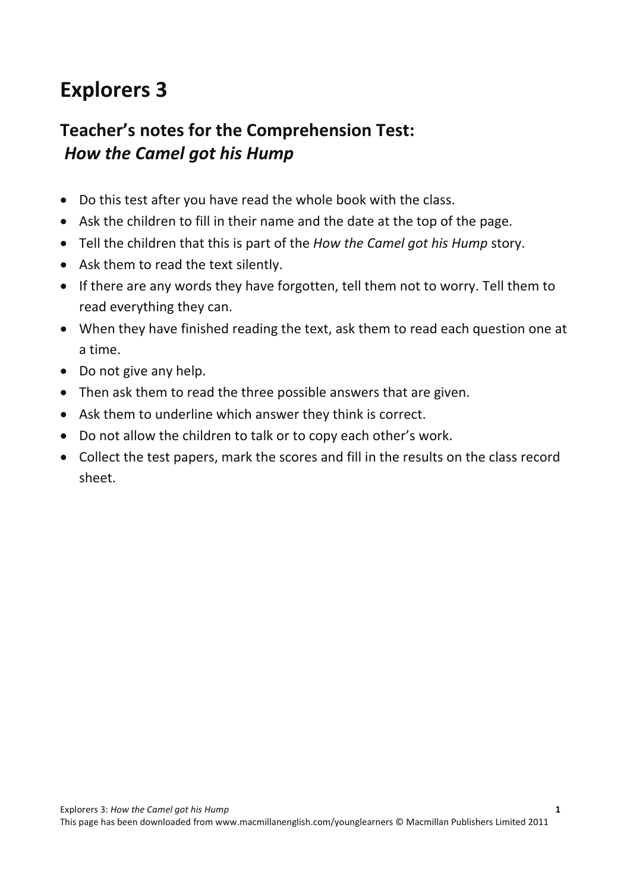# **Explorers 3**

### **Teacher's notes for the Comprehension Test:** *How the Camel got his Hump*

- Do this test after you have read the whole book with the class.
- Ask the children to fill in their name and the date at the top of the page.
- Tell the children that this is part of the *How the Camel got his Hump* story.
- Ask them to read the text silently.
- If there are any words they have forgotten, tell them not to worry. Tell them to read everything they can.
- When they have finished reading the text, ask them to read each question one at a time.
- Do not give any help.
- Then ask them to read the three possible answers that are given.
- Ask them to underline which answer they think is correct.
- Do not allow the children to talk or to copy each other's work.
- Collect the test papers, mark the scores and fill in the results on the class record sheet.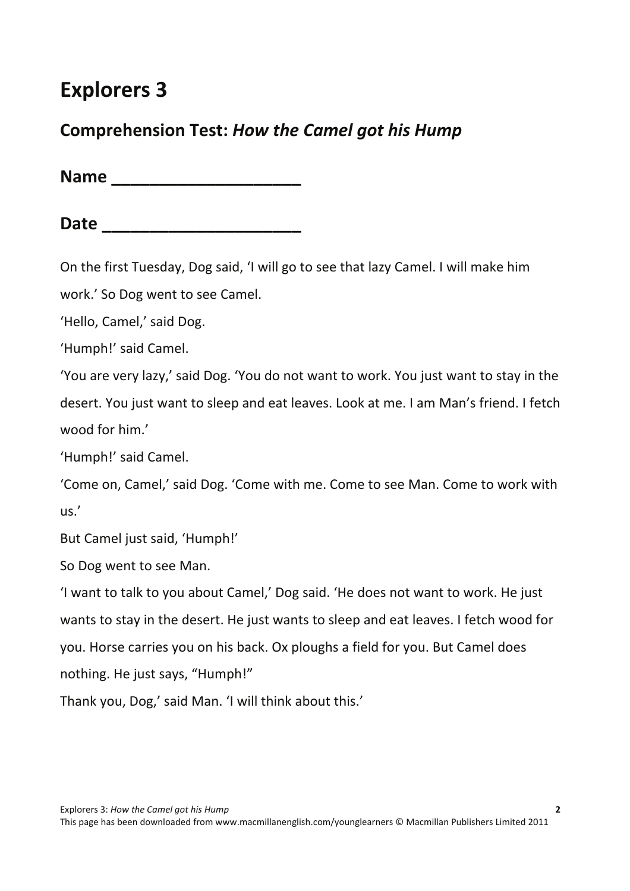# **Explorers 3**

#### **Comprehension Test:** *How the Camel got his Hump*

**Name \_\_\_\_\_\_\_\_\_\_\_\_\_\_\_\_\_\_\_\_**

**Date \_\_\_\_\_\_\_\_\_\_\_\_\_\_\_\_\_\_\_\_\_**

On the first Tuesday, Dog said, 'I will go to see that lazy Camel. I will make him

work.' So Dog went to see Camel.

'Hello, Camel,' said Dog.

'Humph!' said Camel.

'You are very lazy,' said Dog. 'You do not want to work. You just want to stay in the desert. You just want to sleep and eat leaves. Look at me. I am Man's friend. I fetch wood for him.'

'Humph!' said Camel.

'Come on, Camel,' said Dog. 'Come with me. Come to see Man. Come to work with us.'

But Camel just said, 'Humph!'

So Dog went to see Man.

'I want to talk to you about Camel,' Dog said. 'He does not want to work. He just wants to stay in the desert. He just wants to sleep and eat leaves. I fetch wood for you. Horse carries you on his back. Ox ploughs a field for you. But Camel does nothing. He just says, "Humph!"

Thank you, Dog,' said Man. 'I will think about this.'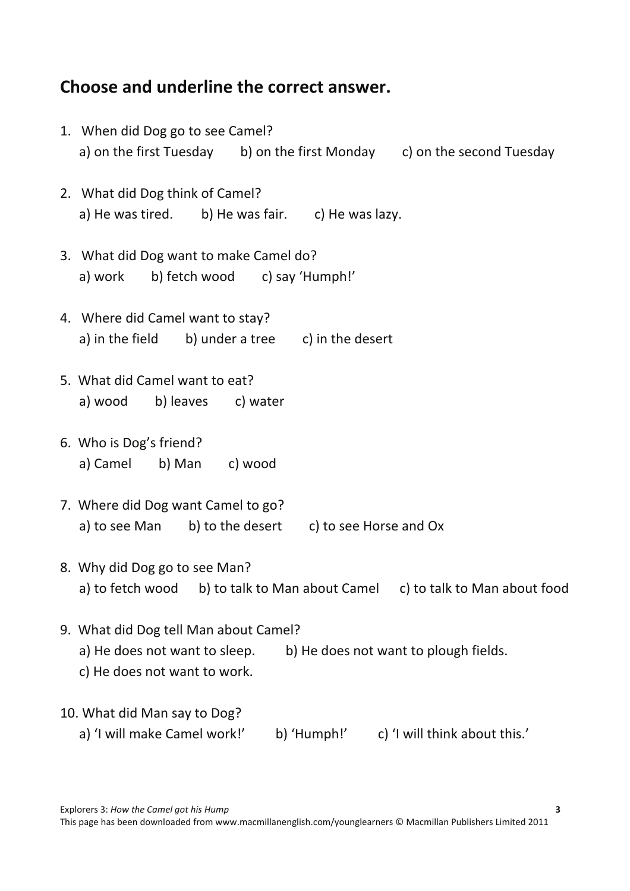### **Choose and underline the correct answer.**

|                              | 1. When did Dog go to see Camel?                                               |  |  |  |  |  |
|------------------------------|--------------------------------------------------------------------------------|--|--|--|--|--|
|                              | a) on the first Tuesday b) on the first Monday c) on the second Tuesday        |  |  |  |  |  |
|                              | 2. What did Dog think of Camel?                                                |  |  |  |  |  |
|                              | a) He was tired. b) He was fair. c) He was lazy.                               |  |  |  |  |  |
|                              | 3. What did Dog want to make Camel do?                                         |  |  |  |  |  |
|                              | a) work b) fetch wood c) say 'Humph!'                                          |  |  |  |  |  |
|                              | 4. Where did Camel want to stay?                                               |  |  |  |  |  |
|                              | a) in the field b) under a tree c) in the desert                               |  |  |  |  |  |
|                              | 5. What did Camel want to eat?                                                 |  |  |  |  |  |
|                              | a) wood b) leaves c) water                                                     |  |  |  |  |  |
|                              | 6. Who is Dog's friend?                                                        |  |  |  |  |  |
|                              | a) Camel b) Man c) wood                                                        |  |  |  |  |  |
|                              | 7. Where did Dog want Camel to go?                                             |  |  |  |  |  |
|                              | a) to see Man b) to the desert c) to see Horse and Ox                          |  |  |  |  |  |
|                              | 8. Why did Dog go to see Man?                                                  |  |  |  |  |  |
|                              | a) to fetch wood b) to talk to Man about Camel<br>c) to talk to Man about food |  |  |  |  |  |
|                              | 9. What did Dog tell Man about Camel?                                          |  |  |  |  |  |
|                              | a) He does not want to sleep.<br>b) He does not want to plough fields.         |  |  |  |  |  |
|                              | c) He does not want to work.                                                   |  |  |  |  |  |
| 10. What did Man say to Dog? |                                                                                |  |  |  |  |  |
|                              | a) 'I will make Camel work!'<br>b) 'Humph!'<br>c) 'I will think about this.'   |  |  |  |  |  |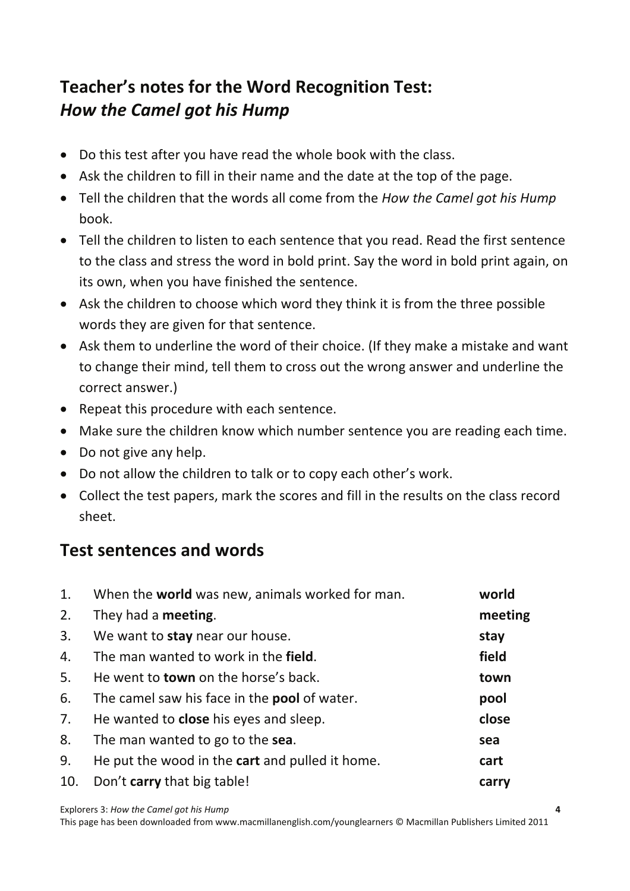## **Teacher's notes for the Word Recognition Test:** *How the Camel got his Hump*

- Do this test after you have read the whole book with the class.
- Ask the children to fill in their name and the date at the top of the page.
- Tell the children that the words all come from the *How the Camel got his Hump* book.
- Tell the children to listen to each sentence that you read. Read the first sentence to the class and stress the word in bold print. Say the word in bold print again, on its own, when you have finished the sentence.
- Ask the children to choose which word they think it is from the three possible words they are given for that sentence.
- Ask them to underline the word of their choice. (If they make a mistake and want to change their mind, tell them to cross out the wrong answer and underline the correct answer.)
- Repeat this procedure with each sentence.
- Make sure the children know which number sentence you are reading each time.
- Do not give any help.
- Do not allow the children to talk or to copy each other's work.
- Collect the test papers, mark the scores and fill in the results on the class record sheet.

#### **Test sentences and words**

| 1.  | When the world was new, animals worked for man.                | world   |  |  |
|-----|----------------------------------------------------------------|---------|--|--|
| 2.  | They had a <b>meeting</b> .                                    | meeting |  |  |
| 3.  | We want to stay near our house.                                | stay    |  |  |
| 4.  | field<br>The man wanted to work in the field.                  |         |  |  |
| 5.  | He went to <b>town</b> on the horse's back.<br>town            |         |  |  |
| 6.  | The camel saw his face in the <b>pool</b> of water.            | pool    |  |  |
| 7.  | He wanted to <b>close</b> his eyes and sleep.                  | close   |  |  |
| 8.  | The man wanted to go to the sea.                               | sea     |  |  |
| 9.  | He put the wood in the <b>cart</b> and pulled it home.<br>cart |         |  |  |
| 10. | Don't carry that big table!                                    |         |  |  |

Explorers 3: *How the Camel got his Hump*  **4**

This page has been downloaded from www.macmillanenglish.com/younglearners © Macmillan Publishers Limited 2011